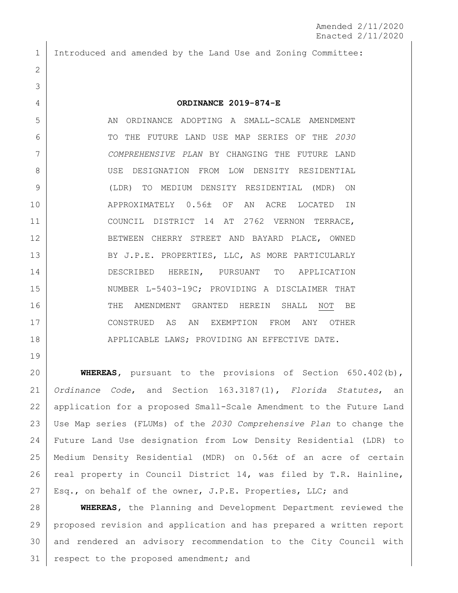Introduced and amended by the Land Use and Zoning Committee:

## **ORDINANCE 2019-874-E**

 AN ORDINANCE ADOPTING A SMALL-SCALE AMENDMENT TO THE FUTURE LAND USE MAP SERIES OF THE *2030 COMPREHENSIVE PLAN* BY CHANGING THE FUTURE LAND USE DESIGNATION FROM LOW DENSITY RESIDENTIAL (LDR) TO MEDIUM DENSITY RESIDENTIAL (MDR) ON 10 APPROXIMATELY 0.56± OF AN ACRE LOCATED IN COUNCIL DISTRICT 14 AT 2762 VERNON TERRACE, 12 BETWEEN CHERRY STREET AND BAYARD PLACE, OWNED 13 BY J.P.E. PROPERTIES, LLC, AS MORE PARTICULARLY DESCRIBED HEREIN, PURSUANT TO APPLICATION 15 NUMBER L-5403-19C; PROVIDING A DISCLAIMER THAT 16 THE AMENDMENT GRANTED HEREIN SHALL NOT BE CONSTRUED AS AN EXEMPTION FROM ANY OTHER 18 | APPLICABLE LAWS; PROVIDING AN EFFECTIVE DATE.

 **WHEREAS,** pursuant to the provisions of Section 650.402(b), *Ordinance Code*, and Section 163.3187(1), *Florida Statutes*, an application for a proposed Small-Scale Amendment to the Future Land Use Map series (FLUMs) of the *2030 Comprehensive Plan* to change the Future Land Use designation from Low Density Residential (LDR) to 25 | Medium Density Residential (MDR) on 0.56± of an acre of certain 26 | real property in Council District 14, was filed by T.R. Hainline, Esq., on behalf of the owner, J.P.E. Properties, LLC; and

 **WHEREAS,** the Planning and Development Department reviewed the proposed revision and application and has prepared a written report and rendered an advisory recommendation to the City Council with 31 respect to the proposed amendment; and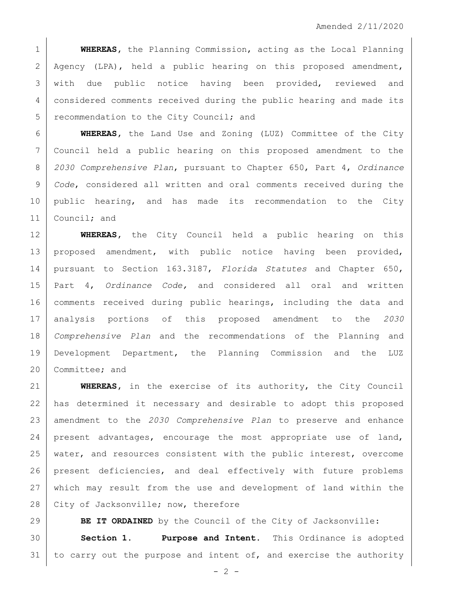**WHEREAS,** the Planning Commission, acting as the Local Planning 2 Agency (LPA), held a public hearing on this proposed amendment, with due public notice having been provided, reviewed and considered comments received during the public hearing and made its 5 recommendation to the City Council; and

 **WHEREAS,** the Land Use and Zoning (LUZ) Committee of the City Council held a public hearing on this proposed amendment to the *2030 Comprehensive Plan*, pursuant to Chapter 650, Part 4, *Ordinance Code*, considered all written and oral comments received during the public hearing, and has made its recommendation to the City Council; and

 **WHEREAS,** the City Council held a public hearing on this 13 proposed amendment, with public notice having been provided, pursuant to Section 163.3187, *Florida Statutes* and Chapter 650, Part 4, *Ordinance Code,* and considered all oral and written comments received during public hearings, including the data and analysis portions of this proposed amendment to the *2030 Comprehensive Plan* and the recommendations of the Planning and Development Department, the Planning Commission and the LUZ 20 Committee; and

 **WHEREAS,** in the exercise of its authority, the City Council has determined it necessary and desirable to adopt this proposed amendment to the *2030 Comprehensive Plan* to preserve and enhance present advantages, encourage the most appropriate use of land, 25 | water, and resources consistent with the public interest, overcome present deficiencies, and deal effectively with future problems which may result from the use and development of land within the 28 City of Jacksonville; now, therefore

**BE IT ORDAINED** by the Council of the City of Jacksonville: **Section 1. Purpose and Intent.** This Ordinance is adopted 31 to carry out the purpose and intent of, and exercise the authority

 $- 2 -$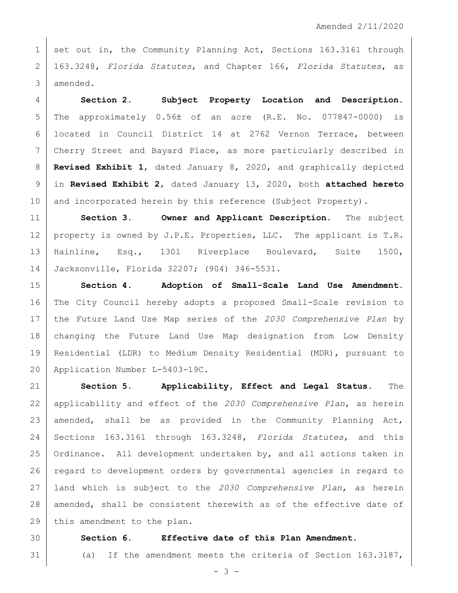1 set out in, the Community Planning Act, Sections 163.3161 through 163.3248, *Florida Statutes*, and Chapter 166, *Florida Statutes*, as amended.

 **Section 2. Subject Property Location and Description.**  $5 \mid$  The approximately  $0.56 \pm 0.5$  an acre (R.E. No. 077847-0000) is located in Council District 14 at 2762 Vernon Terrace, between Cherry Street and Bayard Place, as more particularly described in **Revised Exhibit 1**, dated January 8, 2020, and graphically depicted in **Revised Exhibit 2**, dated January 13, 2020, both **attached hereto** 10 and incorporated herein by this reference (Subject Property).

 **Section 3. Owner and Applicant Description.** The subject 12 | property is owned by J.P.E. Properties, LLC. The applicant is  $T.R.$  Hainline, Esq., 1301 Riverplace Boulevard, Suite 1500, Jacksonville, Florida 32207; (904) 346-5531.

 **Section 4. Adoption of Small-Scale Land Use Amendment.**  The City Council hereby adopts a proposed Small-Scale revision to the Future Land Use Map series of the *2030 Comprehensive Plan* by changing the Future Land Use Map designation from Low Density Residential (LDR) to Medium Density Residential (MDR), pursuant to Application Number L-5403-19C.

 **Section 5. Applicability, Effect and Legal Status.** The applicability and effect of the *2030 Comprehensive Plan*, as herein 23 amended, shall be as provided in the Community Planning Act, Sections 163.3161 through 163.3248, *Florida Statutes*, and this Ordinance. All development undertaken by, and all actions taken in regard to development orders by governmental agencies in regard to land which is subject to the *2030 Comprehensive Plan*, as herein 28 amended, shall be consistent therewith as of the effective date of 29 this amendment to the plan.

## **Section 6. Effective date of this Plan Amendment.**

(a) If the amendment meets the criteria of Section 163.3187,